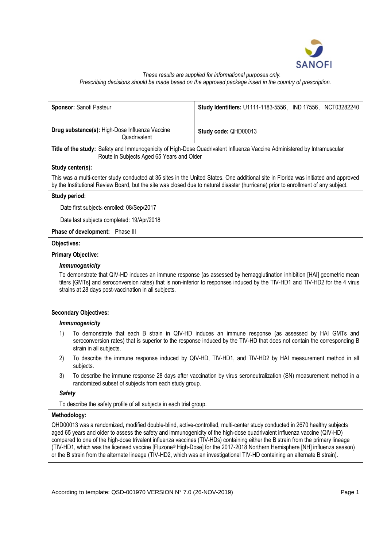

### *These results are supplied for informational purposes only.*

*Prescribing decisions should be made based on the approved package insert in the country of prescription.*

|               | Sponsor: Sanofi Pasteur                                                              | Study Identifiers: U1111-1183-5556, IND 17556, NCT03282240                                                                                                                                                                                                                                                                                                                                                                                                                                                                                                                                                                                             |
|---------------|--------------------------------------------------------------------------------------|--------------------------------------------------------------------------------------------------------------------------------------------------------------------------------------------------------------------------------------------------------------------------------------------------------------------------------------------------------------------------------------------------------------------------------------------------------------------------------------------------------------------------------------------------------------------------------------------------------------------------------------------------------|
|               | Drug substance(s): High-Dose Influenza Vaccine<br>Quadrivalent                       | Study code: QHD00013                                                                                                                                                                                                                                                                                                                                                                                                                                                                                                                                                                                                                                   |
|               | Route in Subjects Aged 65 Years and Older                                            | Title of the study: Safety and Immunogenicity of High-Dose Quadrivalent Influenza Vaccine Administered by Intramuscular                                                                                                                                                                                                                                                                                                                                                                                                                                                                                                                                |
|               | Study center(s):                                                                     |                                                                                                                                                                                                                                                                                                                                                                                                                                                                                                                                                                                                                                                        |
|               |                                                                                      | This was a multi-center study conducted at 35 sites in the United States. One additional site in Florida was initiated and approved<br>by the Institutional Review Board, but the site was closed due to natural disaster (hurricane) prior to enrollment of any subject.                                                                                                                                                                                                                                                                                                                                                                              |
|               | Study period:                                                                        |                                                                                                                                                                                                                                                                                                                                                                                                                                                                                                                                                                                                                                                        |
|               | Date first subjects enrolled: 08/Sep/2017                                            |                                                                                                                                                                                                                                                                                                                                                                                                                                                                                                                                                                                                                                                        |
|               | Date last subjects completed: 19/Apr/2018                                            |                                                                                                                                                                                                                                                                                                                                                                                                                                                                                                                                                                                                                                                        |
|               | Phase of development: Phase III                                                      |                                                                                                                                                                                                                                                                                                                                                                                                                                                                                                                                                                                                                                                        |
| Objectives:   |                                                                                      |                                                                                                                                                                                                                                                                                                                                                                                                                                                                                                                                                                                                                                                        |
|               | <b>Primary Objective:</b>                                                            |                                                                                                                                                                                                                                                                                                                                                                                                                                                                                                                                                                                                                                                        |
|               | Immunogenicity                                                                       |                                                                                                                                                                                                                                                                                                                                                                                                                                                                                                                                                                                                                                                        |
|               | strains at 28 days post-vaccination in all subjects.<br><b>Secondary Objectives:</b> | titers [GMTs] and seroconversion rates) that is non-inferior to responses induced by the TIV-HD1 and TIV-HD2 for the 4 virus                                                                                                                                                                                                                                                                                                                                                                                                                                                                                                                           |
|               | Immunogenicity                                                                       |                                                                                                                                                                                                                                                                                                                                                                                                                                                                                                                                                                                                                                                        |
| 1)            | strain in all subjects.                                                              | To demonstrate that each B strain in QIV-HD induces an immune response (as assessed by HAI GMTs and<br>seroconversion rates) that is superior to the response induced by the TIV-HD that does not contain the corresponding B                                                                                                                                                                                                                                                                                                                                                                                                                          |
| 2)            | subjects.                                                                            | To describe the immune response induced by QIV-HD, TIV-HD1, and TIV-HD2 by HAI measurement method in all                                                                                                                                                                                                                                                                                                                                                                                                                                                                                                                                               |
| 3)            | randomized subset of subjects from each study group.                                 | To describe the immune response 28 days after vaccination by virus seroneutralization (SN) measurement method in a                                                                                                                                                                                                                                                                                                                                                                                                                                                                                                                                     |
| <b>Safety</b> |                                                                                      |                                                                                                                                                                                                                                                                                                                                                                                                                                                                                                                                                                                                                                                        |
|               | To describe the safety profile of all subjects in each trial group.                  |                                                                                                                                                                                                                                                                                                                                                                                                                                                                                                                                                                                                                                                        |
|               | Methodology:                                                                         |                                                                                                                                                                                                                                                                                                                                                                                                                                                                                                                                                                                                                                                        |
|               |                                                                                      | QHD00013 was a randomized, modified double-blind, active-controlled, multi-center study conducted in 2670 healthy subjects<br>aged 65 years and older to assess the safety and immunogenicity of the high-dose quadrivalent influenza vaccine (QIV-HD)<br>compared to one of the high-dose trivalent influenza vaccines (TIV-HDs) containing either the B strain from the primary lineage<br>(TIV-HD1, which was the licensed vaccine [Fluzone® High-Dose] for the 2017-2018 Northern Hemisphere [NH] influenza season)<br>or the B strain from the alternate lineage (TIV-HD2, which was an investigational TIV-HD containing an alternate B strain). |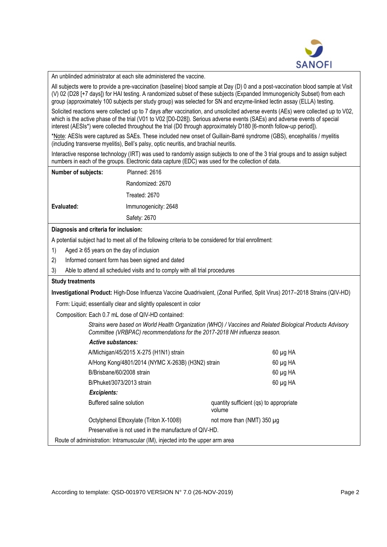

An unblinded administrator at each site administered the vaccine.

All subjects were to provide a pre-vaccination (baseline) blood sample at Day (D) 0 and a post-vaccination blood sample at Visit (V) 02 (D28 [+7 days]) for HAI testing. A randomized subset of these subjects (Expanded Immunogenicity Subset) from each group (approximately 100 subjects per study group) was selected for SN and enzyme-linked lectin assay (ELLA) testing.

Solicited reactions were collected up to 7 days after vaccination, and unsolicited adverse events (AEs) were collected up to V02, which is the active phase of the trial (V01 to V02 [D0-D28]). Serious adverse events (SAEs) and adverse events of special interest (AESIs\*) were collected throughout the trial (D0 through approximately D180 [6-month follow-up period]).

\*Note: AESIs were captured as SAEs. These included new onset of Guillain-Barré syndrome (GBS), encephalitis / myelitis (including transverse myelitis), Bell's palsy, optic neuritis, and brachial neuritis.

Interactive response technology (IRT) was used to randomly assign subjects to one of the 3 trial groups and to assign subject numbers in each of the groups. Electronic data capture (EDC) was used for the collection of data.

| Number of subjects: | Planned: 2616        |
|---------------------|----------------------|
|                     | Randomized: 2670     |
|                     | Treated: 2670        |
| Evaluated:          | Immunogenicity: 2648 |
|                     | Safety: 2670         |

#### **Diagnosis and criteria for inclusion:**

A potential subject had to meet all of the following criteria to be considered for trial enrollment:

- 1) Aged  $\geq 65$  years on the day of inclusion
- 2) Informed consent form has been signed and dated
- 3) Able to attend all scheduled visits and to comply with all trial procedures

#### **Study treatments**

**Investigational Product:** High-Dose Influenza Vaccine Quadrivalent, (Zonal Purified, Split Virus) 2017–2018 Strains (QIV-HD)

Form: Liquid; essentially clear and slightly opalescent in color

Composition: Each 0.7 mL dose of QIV-HD contained:

*Strains were based on World Health Organization (WHO) / Vaccines and Related Biological Products Advisory Committee (VRBPAC) recommendations for the 2017-2018 NH influenza season.*

#### *Active substances:*

| A/Michigan/45/2015 X-275 (H1N1) strain                                        |        | $60 \mu g$ HA                                                         |  |  |  |
|-------------------------------------------------------------------------------|--------|-----------------------------------------------------------------------|--|--|--|
| A/Hong Kong/4801/2014 (NYMC X-263B) (H3N2) strain                             |        | $60 \mu g$ HA                                                         |  |  |  |
| B/Brisbane/60/2008 strain                                                     |        | $60 \mu g$ HA                                                         |  |  |  |
| B/Phuket/3073/2013 strain                                                     |        | $60 \mu g$ HA                                                         |  |  |  |
| <b>Excipients:</b>                                                            |        |                                                                       |  |  |  |
| Buffered saline solution                                                      | volume | quantity sufficient (qs) to appropriate<br>not more than (NMT) 350 µg |  |  |  |
| Octylphenol Ethoxylate (Triton X-100 <sup>®</sup> )                           |        |                                                                       |  |  |  |
| Preservative is not used in the manufacture of QIV-HD.                        |        |                                                                       |  |  |  |
| Route of administration: Intramuscular (IM), injected into the upper arm area |        |                                                                       |  |  |  |

According to template: QSD-001970 VERSION N° 7.0 (26-NOV-2019) Page 2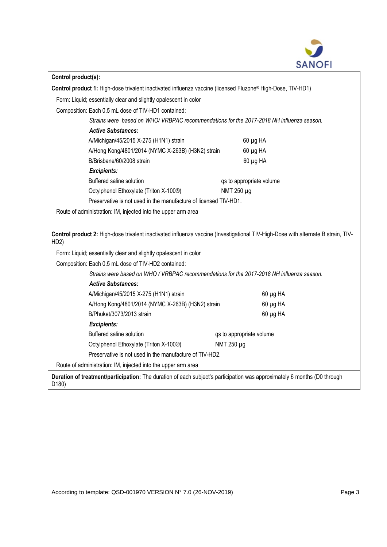

| Control product(s):                                                                                                                                    |                          |  |  |  |
|--------------------------------------------------------------------------------------------------------------------------------------------------------|--------------------------|--|--|--|
| Control product 1: High-dose trivalent inactivated influenza vaccine (licensed Fluzone® High-Dose, TIV-HD1)                                            |                          |  |  |  |
| Form: Liquid; essentially clear and slightly opalescent in color                                                                                       |                          |  |  |  |
| Composition: Each 0.5 mL dose of TIV-HD1 contained:                                                                                                    |                          |  |  |  |
| Strains were based on WHO/VRBPAC recommendations for the 2017-2018 NH influenza season.                                                                |                          |  |  |  |
| <b>Active Substances:</b>                                                                                                                              |                          |  |  |  |
| A/Michigan/45/2015 X-275 (H1N1) strain                                                                                                                 | $60 \mu g$ HA            |  |  |  |
| A/Hong Kong/4801/2014 (NYMC X-263B) (H3N2) strain                                                                                                      | 60 µg HA                 |  |  |  |
| B/Brisbane/60/2008 strain                                                                                                                              | $60 \mu g$ HA            |  |  |  |
| <b>Excipients:</b>                                                                                                                                     |                          |  |  |  |
| Buffered saline solution                                                                                                                               | qs to appropriate volume |  |  |  |
| Octylphenol Ethoxylate (Triton X-100®)                                                                                                                 | NMT 250 µg               |  |  |  |
| Preservative is not used in the manufacture of licensed TIV-HD1.                                                                                       |                          |  |  |  |
| Route of administration: IM, injected into the upper arm area                                                                                          |                          |  |  |  |
| Control product 2: High-dose trivalent inactivated influenza vaccine (Investigational TIV-High-Dose with alternate B strain, TIV-<br>HD <sub>2</sub> ) |                          |  |  |  |
| Form: Liquid; essentially clear and slightly opalescent in color                                                                                       |                          |  |  |  |
| Composition: Each 0.5 mL dose of TIV-HD2 contained:                                                                                                    |                          |  |  |  |
| Strains were based on WHO / VRBPAC recommendations for the 2017-2018 NH influenza season.                                                              |                          |  |  |  |
| <b>Active Substances:</b>                                                                                                                              |                          |  |  |  |
| A/Michigan/45/2015 X-275 (H1N1) strain                                                                                                                 | $60 \mu g$ HA            |  |  |  |
| A/Hong Kong/4801/2014 (NYMC X-263B) (H3N2) strain                                                                                                      | $60 \mu g$ HA            |  |  |  |
| B/Phuket/3073/2013 strain                                                                                                                              | 60 µg HA                 |  |  |  |
| <b>Excipients:</b>                                                                                                                                     |                          |  |  |  |
| Buffered saline solution                                                                                                                               | qs to appropriate volume |  |  |  |
| Octylphenol Ethoxylate (Triton X-100®)                                                                                                                 | NMT 250 µg               |  |  |  |
| Preservative is not used in the manufacture of TIV-HD2.                                                                                                |                          |  |  |  |
| Route of administration: IM, injected into the upper arm area                                                                                          |                          |  |  |  |
| Duration of treatment/participation: The duration of each subject's participation was approximately 6 months (D0 through<br>D <sub>180</sub> )         |                          |  |  |  |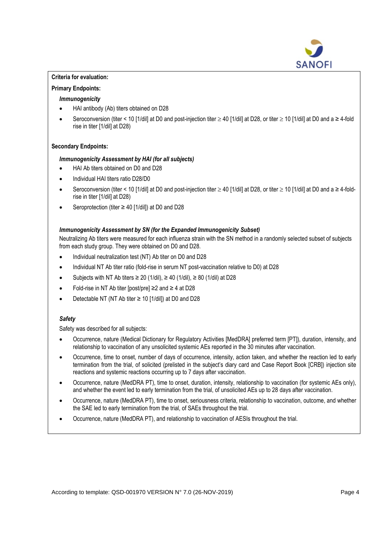

# **Criteria for evaluation:**

## **Primary Endpoints:**

## *Immunogenicity*

- HAI antibody (Ab) titers obtained on D28
- Seroconversion (titer < 10 [1/dil] at D0 and post-injection titer  $\geq$  40 [1/dil] at D28, or titer  $\geq$  10 [1/dil] at D0 and a  $\geq$  4-fold rise in titer [1/dil] at D28)

# **Secondary Endpoints:**

# *Immunogenicity Assessment by HAI (for all subjects)*

- HAI Ab titers obtained on D0 and D28
- Individual HAI titers ratio D28/D0
- Seroconversion (titer < 10 [1/dil] at D0 and post-injection titer  $\geq$  40 [1/dil] at D28, or titer  $\geq$  10 [1/dil] at D0 and a  $\geq$  4-foldrise in titer [1/dil] at D28)
- Seroprotection (titer  $\geq$  40 [1/dil]) at D0 and D28

# *Immunogenicity Assessment by SN (for the Expanded Immunogenicity Subset)*

Neutralizing Ab titers were measured for each influenza strain with the SN method in a randomly selected subset of subjects from each study group. They were obtained on D0 and D28.

- Individual neutralization test (NT) Ab titer on D0 and D28
- Individual NT Ab titer ratio (fold-rise in serum NT post-vaccination relative to D0) at D28
- Subjects with NT Ab titers  $\geq 20$  (1/dil),  $\geq 40$  (1/dil),  $\geq 80$  (1/dil) at D28
- Fold-rise in NT Ab titer [post/pre] ≥2 and ≥ 4 at D28
- Detectable NT (NT Ab titer ≥ 10 [1/dil]) at D0 and D28

# *Safety*

Safety was described for all subjects:

- Occurrence, nature (Medical Dictionary for Regulatory Activities [MedDRA] preferred term [PT]), duration, intensity, and relationship to vaccination of any unsolicited systemic AEs reported in the 30 minutes after vaccination.
- Occurrence, time to onset, number of days of occurrence, intensity, action taken, and whether the reaction led to early termination from the trial, of solicited (prelisted in the subject's diary card and Case Report Book [CRB]) injection site reactions and systemic reactions occurring up to 7 days after vaccination.
- Occurrence, nature (MedDRA PT), time to onset, duration, intensity, relationship to vaccination (for systemic AEs only), and whether the event led to early termination from the trial, of unsolicited AEs up to 28 days after vaccination.
- Occurrence, nature (MedDRA PT), time to onset, seriousness criteria, relationship to vaccination, outcome, and whether the SAE led to early termination from the trial, of SAEs throughout the trial.
- Occurrence, nature (MedDRA PT), and relationship to vaccination of AESIs throughout the trial.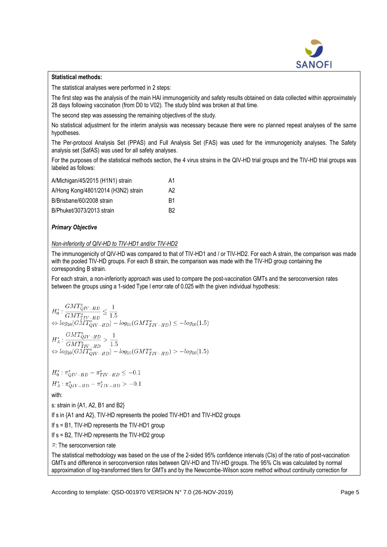

## **Statistical methods:**

The statistical analyses were performed in 2 steps:

The first step was the analysis of the main HAI immunogenicity and safety results obtained on data collected within approximately 28 days following vaccination (from D0 to V02). The study blind was broken at that time.

The second step was assessing the remaining objectives of the study.

No statistical adjustment for the interim analysis was necessary because there were no planned repeat analyses of the same hypotheses.

The Per-protocol Analysis Set (PPAS) and Full Analysis Set (FAS) was used for the immunogenicity analyses. The Safety analysis set (SafAS) was used for all safety analyses.

For the purposes of the statistical methods section, the 4 virus strains in the QIV-HD trial groups and the TIV-HD trial groups was labeled as follows:

| A/Michigan/45/2015 (H1N1) strain    | А1 |
|-------------------------------------|----|
| A/Hong Kong/4801/2014 (H3N2) strain | A2 |
| B/Brisbane/60/2008 strain           | R1 |
| B/Phuket/3073/2013 strain           | R2 |

## *Primary Objective*

### *Non-inferiority of QIV-HD to TIV-HD1 and/or TIV-HD2*

The immunogenicity of QIV-HD was compared to that of TIV-HD1 and / or TIV-HD2. For each A strain, the comparison was made with the pooled TIV-HD groups. For each B strain, the comparison was made with the TIV-HD group containing the corresponding B strain.

For each strain, a non-inferiority approach was used to compare the post-vaccination GMTs and the seroconversion rates between the groups using a 1-sided Type I error rate of 0.025 with the given individual hypothesis:

$$
H_0^s: \frac{GMT_{QIV-HD}^s}{GMT_{TIV-HD}^s} \le \frac{1}{1.5}
$$
  
\n
$$
\Leftrightarrow log_{10}(GMT_{QIV-HD}^s) - log_{10}(GMT_{TIV-HD}^s) \le -log_{10}(1.5)
$$
  
\n
$$
H_A^s: \frac{GMT_{QIV-HD}^s}{GMT_{TIV-HD}^s} > \frac{1}{1.5}
$$
  
\n
$$
\Leftrightarrow log_{10}(GMT_{QIV-HD}^s) - log_{10}(GMT_{TIV-HD}^s) > -log_{10}(1.5)
$$

 $H_0^s: \pi_{OIV-HD}^s - \pi_{TIV-HD}^s \leq -0.1$ 

 $H_A^s$ :  $\pi_{OIV-HD}^s - \pi_{TIV-HD}^s > -0.1$ 

with:

s: strain in {A1, A2, B1 and B2}

If s in {A1 and A2}, TIV-HD represents the pooled TIV-HD1 and TIV-HD2 groups

If s = B1, TIV-HD represents the TIV-HD1 group

If s = B2, TIV-HD represents the TIV-HD2 group

 $\pi$ : The seroconversion rate

The statistical methodology was based on the use of the 2-sided 95% confidence intervals (CIs) of the ratio of post-vaccination GMTs and difference in seroconversion rates between QIV-HD and TIV-HD groups. The 95% CIs was calculated by normal approximation of log-transformed titers for GMTs and by the Newcombe-Wilson score method without continuity correction for

According to template: QSD-001970 VERSION N° 7.0 (26-NOV-2019) Page 5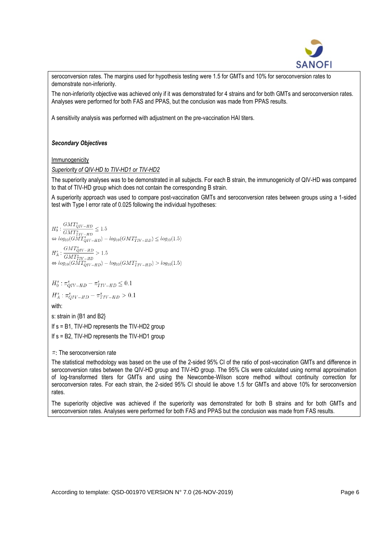

seroconversion rates. The margins used for hypothesis testing were 1.5 for GMTs and 10% for seroconversion rates to demonstrate non-inferiority.

The non-inferiority objective was achieved only if it was demonstrated for 4 strains and for both GMTs and seroconversion rates. Analyses were performed for both FAS and PPAS, but the conclusion was made from PPAS results.

A sensitivity analysis was performed with adjustment on the pre-vaccination HAI titers.

# *Secondary Objectives*

**Immunogenicity** 

*Superiority of QIV-HD to TIV-HD1 or TIV-HD2* 

The superiority analyses was to be demonstrated in all subjects. For each B strain, the immunogenicity of QIV-HD was compared to that of TIV-HD group which does not contain the corresponding B strain.

A superiority approach was used to compare post-vaccination GMTs and seroconversion rates between groups using a 1-sided test with Type I error rate of 0.025 following the individual hypotheses:

 $\begin{array}{l} H_0^s: \frac{GMT^s_Q_{UV-HD}}{GMT^s_{TIV-HD}} \leq 1.5 \\ \Leftrightarrow \log_{10}(GMT^s_{QIV-HD}) - \log_{10}(GMT^s_{TIV-HD}) \leq \log_{10}(1.5) \end{array}$ 

 $\begin{array}{l} H_A^s: \frac{GMT^s_{QIV-HD}}{GMT^s_{QIV-HD}}>1.5 \\ \Leftrightarrow log_{10}(GMT^s_{QIV-HD})-log_{10}(GMT^s_{TIV-HD})>log_{10}(1.5) \end{array}$ 

$$
H_0^s: \pi_{QIV-HD}^s - \pi_{TIV-HD}^s \leq 0.1
$$

 $H_A^s : \pi_{QIV-HD}^s - \pi_{TIV-HD}^s > 0.1$ 

with:

s: strain in {B1 and B2}

If s = B1, TIV-HD represents the TIV-HD2 group

If s = B2, TIV-HD represents the TIV-HD1 group

 $\pi$ : The seroconversion rate

The statistical methodology was based on the use of the 2-sided 95% CI of the ratio of post-vaccination GMTs and difference in seroconversion rates between the QIV-HD group and TIV-HD group. The 95% CIs were calculated using normal approximation of log-transformed titers for GMTs and using the Newcombe-Wilson score method without continuity correction for seroconversion rates. For each strain, the 2-sided 95% CI should lie above 1.5 for GMTs and above 10% for seroconversion rates.

The superiority objective was achieved if the superiority was demonstrated for both B strains and for both GMTs and seroconversion rates. Analyses were performed for both FAS and PPAS but the conclusion was made from FAS results.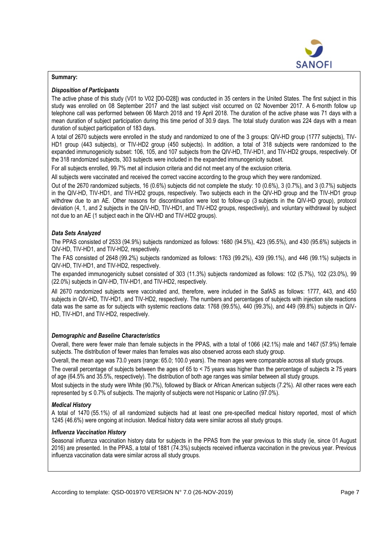

#### **Summary:**

### *Disposition of Participants*

The active phase of this study (V01 to V02 [D0-D28]) was conducted in 35 centers in the United States. The first subject in this study was enrolled on 08 September 2017 and the last subject visit occurred on 02 November 2017. A 6-month follow up telephone call was performed between 06 March 2018 and 19 April 2018. The duration of the active phase was 71 days with a mean duration of subject participation during this time period of 30.9 days. The total study duration was 224 days with a mean duration of subject participation of 183 days.

A total of 2670 subjects were enrolled in the study and randomized to one of the 3 groups: QIV-HD group (1777 subjects), TIV-HD1 group (443 subjects), or TIV-HD2 group (450 subjects). In addition, a total of 318 subjects were randomized to the expanded immunogenicity subset: 106, 105, and 107 subjects from the QIV-HD, TIV-HD1, and TIV-HD2 groups, respectively. Of the 318 randomized subjects, 303 subjects were included in the expanded immunogenicity subset.

For all subjects enrolled, 99.7% met all inclusion criteria and did not meet any of the exclusion criteria.

All subjects were vaccinated and received the correct vaccine according to the group which they were randomized.

Out of the 2670 randomized subjects, 16 (0.6%) subjects did not complete the study: 10 (0.6%), 3 (0.7%), and 3 (0.7%) subjects in the QIV-HD, TIV-HD1, and TIV-HD2 groups, respectively. Two subjects each in the QIV-HD group and the TIV-HD1 group withdrew due to an AE. Other reasons for discontinuation were lost to follow-up (3 subjects in the QIV-HD group), protocol deviation (4, 1, and 2 subjects in the QIV-HD, TIV-HD1, and TIV-HD2 groups, respectively), and voluntary withdrawal by subject not due to an AE (1 subject each in the QIV-HD and TIV-HD2 groups).

# *Data Sets Analyzed*

The PPAS consisted of 2533 (94.9%) subjects randomized as follows: 1680 (94.5%), 423 (95.5%), and 430 (95.6%) subjects in QIV-HD, TIV-HD1, and TIV-HD2, respectively.

The FAS consisted of 2648 (99.2%) subjects randomized as follows: 1763 (99.2%), 439 (99.1%), and 446 (99.1%) subjects in QIV-HD, TIV-HD1, and TIV-HD2, respectively.

The expanded immunogenicity subset consisted of 303 (11.3%) subjects randomized as follows: 102 (5.7%), 102 (23.0%), 99 (22.0%) subjects in QIV-HD, TIV-HD1, and TIV-HD2, respectively.

All 2670 randomized subjects were vaccinated and, therefore, were included in the SafAS as follows: 1777, 443, and 450 subjects in QIV-HD, TIV-HD1, and TIV-HD2, respectively. The numbers and percentages of subjects with injection site reactions data was the same as for subjects with systemic reactions data: 1768 (99.5%), 440 (99.3%), and 449 (99.8%) subjects in QIV-HD, TIV-HD1, and TIV-HD2, respectively.

### *Demographic and Baseline Characteristics*

Overall, there were fewer male than female subjects in the PPAS, with a total of 1066 (42.1%) male and 1467 (57.9%) female subjects. The distribution of fewer males than females was also observed across each study group.

Overall, the mean age was 73.0 years (range: 65.0; 100.0 years). The mean ages were comparable across all study groups.

The overall percentage of subjects between the ages of 65 to < 75 years was higher than the percentage of subjects  $\geq$  75 years of age (64.5% and 35.5%, respectively). The distribution of both age ranges was similar between all study groups.

Most subjects in the study were White (90.7%), followed by Black or African American subjects (7.2%). All other races were each represented by ≤ 0.7% of subjects. The majority of subjects were not Hispanic or Latino (97.0%).

### *Medical History*

A total of 1470 (55.1%) of all randomized subjects had at least one pre-specified medical history reported, most of which 1245 (46.6%) were ongoing at inclusion. Medical history data were similar across all study groups.

### *Influenza Vaccination History*

Seasonal influenza vaccination history data for subjects in the PPAS from the year previous to this study (ie, since 01 August 2016) are presented. In the PPAS, a total of 1881 (74.3%) subjects received influenza vaccination in the previous year. Previous influenza vaccination data were similar across all study groups.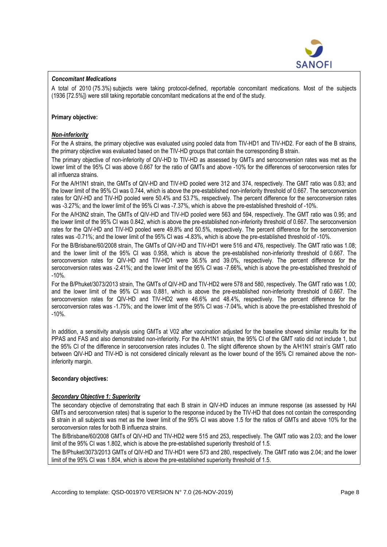

### *Concomitant Medications*

A total of 2010 (75.3%) subjects were taking protocol-defined, reportable concomitant medications. Most of the subjects (1936 [72.5%]) were still taking reportable concomitant medications at the end of the study.

### **Primary objective:**

### *Non-inferiority*

For the A strains, the primary objective was evaluated using pooled data from TIV-HD1 and TIV-HD2. For each of the B strains, the primary objective was evaluated based on the TIV-HD groups that contain the corresponding B strain.

The primary objective of non-inferiority of QIV-HD to TIV-HD as assessed by GMTs and seroconversion rates was met as the lower limit of the 95% CI was above 0.667 for the ratio of GMTs and above -10% for the differences of seroconversion rates for all influenza strains.

For the A/H1N1 strain, the GMTs of QIV-HD and TIV-HD pooled were 312 and 374, respectively. The GMT ratio was 0.83; and the lower limit of the 95% CI was 0.744, which is above the pre-established non-inferiority threshold of 0.667. The seroconversion rates for QIV-HD and TIV-HD pooled were 50.4% and 53.7%, respectively. The percent difference for the seroconversion rates was -3.27%; and the lower limit of the 95% CI was -7.37%, which is above the pre-established threshold of -10%.

For the A/H3N2 strain, The GMTs of QIV-HD and TIV-HD pooled were 563 and 594, respectively. The GMT ratio was 0.95; and the lower limit of the 95% CI was 0.842, which is above the pre-established non-inferiority threshold of 0.667. The seroconversion rates for the QIV-HD and TIV-HD pooled were 49.8% and 50.5%, respectively. The percent difference for the seroconversion rates was -0.71%; and the lower limit of the 95% CI was -4.83%, which is above the pre-established threshold of -10%.

For the B/Brisbane/60/2008 strain, The GMTs of QIV-HD and TIV-HD1 were 516 and 476, respectively. The GMT ratio was 1.08; and the lower limit of the 95% CI was 0.958, which is above the pre-established non-inferiority threshold of 0.667. The seroconversion rates for QIV-HD and TIV-HD1 were 36.5% and 39.0%, respectively. The percent difference for the seroconversion rates was -2.41%; and the lower limit of the 95% CI was -7.66%, which is above the pre-established threshold of -10%.

For the B/Phuket/3073/2013 strain, The GMTs of QIV-HD and TIV-HD2 were 578 and 580, respectively. The GMT ratio was 1.00; and the lower limit of the 95% CI was 0.881, which is above the pre-established non-inferiority threshold of 0.667. The seroconversion rates for QIV-HD and TIV-HD2 were 46.6% and 48.4%, respectively. The percent difference for the seroconversion rates was -1.75%; and the lower limit of the 95% CI was -7.04%, which is above the pre-established threshold of -10%.

In addition, a sensitivity analysis using GMTs at V02 after vaccination adjusted for the baseline showed similar results for the PPAS and FAS and also demonstrated non-inferiority. For the A/H1N1 strain, the 95% CI of the GMT ratio did not include 1, but the 95% CI of the difference in seroconversion rates includes 0. The slight difference shown by the A/H1N1 strain's GMT ratio between QIV-HD and TIV-HD is not considered clinically relevant as the lower bound of the 95% CI remained above the noninferiority margin.

### **Secondary objectives:**

### *Secondary Objective 1: Superiority*

The secondary objective of demonstrating that each B strain in QIV-HD induces an immune response (as assessed by HAI GMTs and seroconversion rates) that is superior to the response induced by the TIV-HD that does not contain the corresponding B strain in all subjects was met as the lower limit of the 95% CI was above 1.5 for the ratios of GMTs and above 10% for the seroconversion rates for both B influenza strains.

The B/Brisbane/60/2008 GMTs of QIV-HD and TIV-HD2 were 515 and 253, respectively. The GMT ratio was 2.03; and the lower limit of the 95% CI was 1.802, which is above the pre-established superiority threshold of 1.5.

The B/Phuket/3073/2013 GMTs of QIV-HD and TIV-HD1 were 573 and 280, respectively. The GMT ratio was 2.04; and the lower limit of the 95% CI was 1.804, which is above the pre-established superiority threshold of 1.5.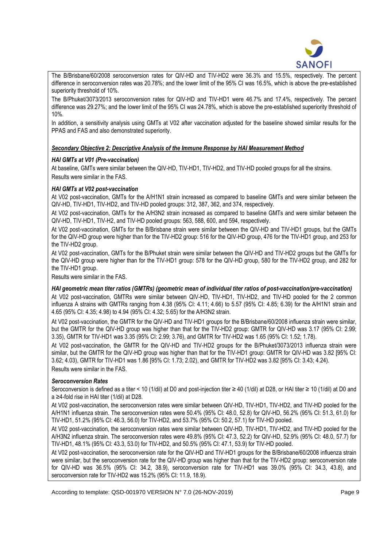

The B/Brisbane/60/2008 seroconversion rates for QIV-HD and TIV-HD2 were 36.3% and 15.5%, respectively. The percent difference in seroconversion rates was 20.78%; and the lower limit of the 95% CI was 16.5%, which is above the pre-established superiority threshold of 10%.

The B/Phuket/3073/2013 seroconversion rates for QIV-HD and TIV-HD1 were 46.7% and 17.4%, respectively. The percent difference was 29.27%; and the lower limit of the 95% CI was 24.78%, which is above the pre-established superiority threshold of 10%.

In addition, a sensitivity analysis using GMTs at V02 after vaccination adjusted for the baseline showed similar results for the PPAS and FAS and also demonstrated superiority.

## *Secondary Objective 2: Descriptive Analysis of the Immune Response by HAI Measurement Method*

## *HAI GMTs at V01 (Pre-vaccination)*

At baseline, GMTs were similar between the QIV-HD, TIV-HD1, TIV-HD2, and TIV-HD pooled groups for all the strains. Results were similar in the FAS.

## *HAI GMTs at V02 post-vaccination*

At V02 post-vaccination, GMTs for the A/H1N1 strain increased as compared to baseline GMTs and were similar between the QIV-HD, TIV-HD1, TIV-HD2, and TIV-HD pooled groups: 312, 387, 362, and 374, respectively.

At V02 post-vaccination, GMTs for the A/H3N2 strain increased as compared to baseline GMTs and were similar between the QIV-HD, TIV-HD1, TIV-H2, and TIV-HD pooled groups: 563, 588, 600, and 594, respectively.

At V02 post-vaccination, GMTs for the B/Brisbane strain were similar between the QIV-HD and TIV-HD1 groups, but the GMTs for the QIV-HD group were higher than for the TIV-HD2 group: 516 for the QIV-HD group, 476 for the TIV-HD1 group, and 253 for the TIV-HD2 group.

At V02 post-vaccination, GMTs for the B/Phuket strain were similar between the QIV-HD and TIV-HD2 groups but the GMTs for the QIV-HD group were higher than for the TIV-HD1 group: 578 for the QIV-HD group, 580 for the TIV-HD2 group, and 282 for the TIV-HD1 group.

Results were similar in the FAS.

*HAI geometric mean titer ratios (GMTRs) (geometric mean of individual titer ratios of post-vaccination/pre-vaccination)*

At V02 post-vaccination, GMTRs were similar between QIV-HD, TIV-HD1, TIV-HD2, and TIV-HD pooled for the 2 common influenza A strains with GMTRs ranging from 4.38 (95% CI: 4.11; 4.66) to 5.57 (95% CI: 4.85; 6.39) for the A/H1N1 strain and 4.65 (95% CI: 4.35; 4.98) to 4.94 (95% CI: 4.32; 5.65) for the A/H3N2 strain.

At V02 post-vaccination, the GMTR for the QIV-HD and TIV-HD1 groups for the B/Brisbane/60/2008 influenza strain were similar, but the GMTR for the QIV-HD group was higher than that for the TIV-HD2 group: GMTR for QIV-HD was 3.17 (95% CI: 2.99; 3.35), GMTR for TIV-HD1 was 3.35 (95% CI: 2.99; 3.76), and GMTR for TIV-HD2 was 1.65 (95% CI: 1.52; 1.78).

At V02 post-vaccination, the GMTR for the QIV-HD and TIV-HD2 groups for the B/Phuket/3073/2013 influenza strain were similar, but the GMTR for the QIV-HD group was higher than that for the TIV-HD1 group: GMTR for QIV-HD was 3.82 [95% CI: 3.62; 4.03), GMTR for TIV-HD1 was 1.86 [95% CI: 1.73; 2.02), and GMTR for TIV-HD2 was 3.82 [95% CI: 3.43; 4.24). Results were similar in the FAS.

# *Seroconversion Rates*

Seroconversion is defined as a titer < 10 (1/dil) at D0 and post-injection titer ≥ 40 (1/dil) at D28, or HAI titer ≥ 10 (1/dil) at D0 and a ≥4-fold rise in HAI titer (1/dil) at D28.

At V02 post-vaccination, the seroconversion rates were similar between QIV-HD, TIV-HD1, TIV-HD2, and TIV-HD pooled for the A/H1N1 influenza strain. The seroconversion rates were 50.4% (95% CI: 48.0, 52.8) for QIV-HD, 56.2% (95% CI: 51.3, 61.0) for TIV-HD1, 51.2% (95% CI: 46.3, 56.0) for TIV-HD2, and 53.7% (95% CI: 50.2, 57.1) for TIV-HD pooled.

At V02 post-vaccination, the seroconversion rates were similar between QIV-HD, TIV-HD1, TIV-HD2, and TIV-HD pooled for the A/H3N2 influenza strain. The seroconversion rates were 49.8% (95% CI: 47.3, 52.2) for QIV-HD, 52.9% (95% CI: 48.0, 57.7) for TIV-HD1, 48.1% (95% CI: 43.3, 53.0) for TIV-HD2, and 50.5% (95% CI: 47.1, 53.9) for TIV-HD pooled.

At V02 post-vaccination, the seroconversion rate for the QIV-HD and TIV-HD1 groups for the B/Brisbane/60/2008 influenza strain were similar, but the seroconversion rate for the QIV-HD group was higher than that for the TIV-HD2 group: seroconversion rate for QIV-HD was 36.5% (95% CI: 34.2, 38.9), seroconversion rate for TIV-HD1 was 39.0% (95% CI: 34.3, 43.8), and seroconversion rate for TIV-HD2 was 15.2% (95% CI: 11.9, 18.9).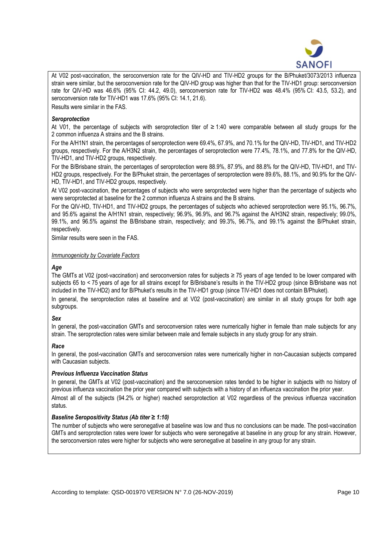

At V02 post-vaccination, the seroconversion rate for the QIV-HD and TIV-HD2 groups for the B/Phuket/3073/2013 influenza strain were similar, but the seroconversion rate for the QIV-HD group was higher than that for the TIV-HD1 group: seroconversion rate for QIV-HD was 46.6% (95% CI: 44.2, 49.0), seroconversion rate for TIV-HD2 was 48.4% (95% CI: 43.5, 53.2), and seroconversion rate for TIV-HD1 was 17.6% (95% CI: 14.1, 21.6).

Results were similar in the FAS.

### *Seroprotection*

At V01, the percentage of subjects with seroprotection titer of ≥ 1:40 were comparable between all study groups for the 2 common influenza A strains and the B strains.

For the A/H1N1 strain, the percentages of seroprotection were 69.4%, 67.9%, and 70.1% for the QIV-HD, TIV-HD1, and TIV-HD2 groups, respectively. For the A/H3N2 strain, the percentages of seroprotection were 77.4%, 78.1%, and 77.8% for the QIV-HD, TIV-HD1, and TIV-HD2 groups, respectively.

For the B/Brisbane strain, the percentages of seroprotection were 88.9%, 87.9%, and 88.8% for the QIV-HD, TIV-HD1, and TIV-HD2 groups, respectively. For the B/Phuket strain, the percentages of seroprotection were 89.6%, 88.1%, and 90.9% for the QIV-HD, TIV-HD1, and TIV-HD2 groups, respectively.

At V02 post-vaccination, the percentages of subjects who were seroprotected were higher than the percentage of subjects who were seroprotected at baseline for the 2 common influenza A strains and the B strains.

For the QIV-HD, TIV-HD1, and TIV-HD2 groups, the percentages of subjects who achieved seroprotection were 95.1%, 96.7%, and 95.6% against the A/H1N1 strain, respectively; 96.9%, 96.9%, and 96.7% against the A/H3N2 strain, respectively; 99.0%, 99.1%, and 96.5% against the B/Brisbane strain, respectively; and 99.3%, 96.7%, and 99.1% against the B/Phuket strain, respectively.

Similar results were seen in the FAS.

### *Immunogenicity by Covariate Factors*

## *Age*

The GMTs at V02 (post-vaccination) and seroconversion rates for subjects ≥ 75 years of age tended to be lower compared with subjects 65 to < 75 years of age for all strains except for B/Brisbane's results in the TIV-HD2 group (since B/Brisbane was not included in the TIV-HD2) and for B/Phuket's results in the TIV-HD1 group (since TIV-HD1 does not contain B/Phuket). In general, the seroprotection rates at baseline and at V02 (post-vaccination) are similar in all study groups for both age subgroups.

### *Sex*

In general, the post-vaccination GMTs and seroconversion rates were numerically higher in female than male subjects for any strain. The seroprotection rates were similar between male and female subjects in any study group for any strain.

### *Race*

In general, the post-vaccination GMTs and seroconversion rates were numerically higher in non-Caucasian subjects compared with Caucasian subjects.

# *Previous Influenza Vaccination Status*

In general, the GMTs at V02 (post-vaccination) and the seroconversion rates tended to be higher in subjects with no history of previous influenza vaccination the prior year compared with subjects with a history of an influenza vaccination the prior year. Almost all of the subjects (94.2% or higher) reached seroprotection at V02 regardless of the previous influenza vaccination status.

### *Baseline Seropositivity Status (Ab titer ≥ 1:10)*

The number of subjects who were seronegative at baseline was low and thus no conclusions can be made. The post-vaccination GMTs and seroprotection rates were lower for subjects who were seronegative at baseline in any group for any strain. However, the seroconversion rates were higher for subjects who were seronegative at baseline in any group for any strain.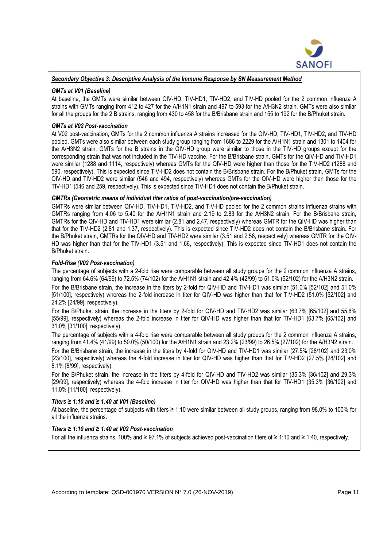

#### *Secondary Objective 3: Descriptive Analysis of the Immune Response by SN Measurement Method*

### *GMTs at V01 (Baseline)*

At baseline, the GMTs were similar between QIV-HD, TIV-HD1, TIV-HD2, and TIV-HD pooled for the 2 common influenza A strains with GMTs ranging from 412 to 427 for the A/H1N1 strain and 497 to 593 for the A/H3N2 strain. GMTs were also similar for all the groups for the 2 B strains, ranging from 430 to 458 for the B/Brisbane strain and 155 to 192 for the B/Phuket strain.

#### *GMTs at V02 Post-vaccination*

At V02 post-vaccination, GMTs for the 2 common influenza A strains increased for the QIV-HD, TIV-HD1, TIV-HD2, and TIV-HD pooled. GMTs were also similar between each study group ranging from 1686 to 2229 for the A/H1N1 strain and 1301 to 1404 for the A/H3N2 strain. GMTs for the B strains in the QIV-HD group were similar to those in the TIV-HD groups except for the corresponding strain that was not included in the TIV-HD vaccine. For the B/Brisbane strain, GMTs for the QIV-HD and TIV-HD1 were similar (1288 and 1114, respectively) whereas GMTs for the QIV-HD were higher than those for the TIV-HD2 (1288 and 590, respectively). This is expected since TIV-HD2 does not contain the B/Brisbane strain. For the B/Phuket strain, GMTs for the QIV-HD and TIV-HD2 were similar (546 and 494, respectively) whereas GMTs for the QIV-HD were higher than those for the TIV-HD1 (546 and 259, respectively). This is expected since TIV-HD1 does not contain the B/Phuket strain.

### *GMTRs (Geometric means of individual titer ratios of post-vaccination/pre-vaccination)*

GMTRs were similar between QIV-HD, TIV-HD1, TIV-HD2, and TIV-HD pooled for the 2 common strains influenza strains with GMTRs ranging from 4.06 to 5.40 for the A/H1N1 strain and 2.19 to 2.83 for the A/H3N2 strain. For the B/Brisbane strain, GMTRs for the QIV-HD and TIV-HD1 were similar (2.81 and 2.47, respectively) whereas GMTR for the QIV-HD was higher than that for the TIV-HD2 (2.81 and 1.37, respectively). This is expected since TIV-HD2 does not contain the B/Brisbane strain. For the B/Phuket strain, GMTRs for the QIV-HD and TIV-HD2 were similar (3.51 and 2.58, respectively) whereas GMTR for the QIV-HD was higher than that for the TIV-HD1 (3.51 and 1.66, respectively). This is expected since TIV-HD1 does not contain the B/Phuket strain.

#### *Fold-Rise (V02 Post-vaccination)*

The percentage of subjects with a 2-fold rise were comparable between all study groups for the 2 common influenza A strains, ranging from 64.6% (64/99) to 72.5% (74/102) for the A/H1N1 strain and 42.4% (42/99) to 51.0% (52/102) for the A/H3N2 strain. For the B/Brisbane strain, the increase in the titers by 2-fold for QIV-HD and TIV-HD1 was similar (51.0% [52/102] and 51.0% [51/100], respectively) whereas the 2-fold increase in titer for QIV-HD was higher than that for TIV-HD2 (51.0% [52/102] and 24.2% [24/99], respectively).

For the B/Phuket strain, the increase in the titers by 2-fold for QIV-HD and TIV-HD2 was similar (63.7% [65/102] and 55.6% [55/99], respectively) whereas the 2-fold increase in titer for QIV-HD was higher than that for TIV-HD1 (63.7% [65/102] and 31.0% [31/100], respectively).

The percentage of subjects with a 4-fold rise were comparable between all study groups for the 2 common influenza A strains, ranging from 41.4% (41/99) to 50.0% (50/100) for the A/H1N1 strain and 23.2% (23/99) to 26.5% (27/102) for the A/H3N2 strain.

For the B/Brisbane strain, the increase in the titers by 4-fold for QIV-HD and TIV-HD1 was similar (27.5% [28/102] and 23.0% [23/100], respectively) whereas the 4-fold increase in titer for QIV-HD was higher than that for TIV-HD2 (27.5% [28/102] and 8.1% [8/99], respectively).

For the B/Phuket strain, the increase in the titers by 4-fold for QIV-HD and TIV-HD2 was similar (35.3% [36/102] and 29.3% [29/99], respectively) whereas the 4-fold increase in titer for QIV-HD was higher than that for TIV-HD1 (35.3% [36/102] and 11.0% [11/100], respectively).

### *Titers ≥ 1:10 and ≥ 1:40 at V01 (Baseline)*

At baseline, the percentage of subjects with titers ≥ 1:10 were similar between all study groups, ranging from 98.0% to 100% for all the influenza strains.

#### *Titers ≥ 1:10 and ≥ 1:40 at V02 Post-vaccination*

For all the influenza strains, 100% and ≥ 97.1% of subjects achieved post-vaccination titers of ≥ 1:10 and ≥ 1:40, respectively.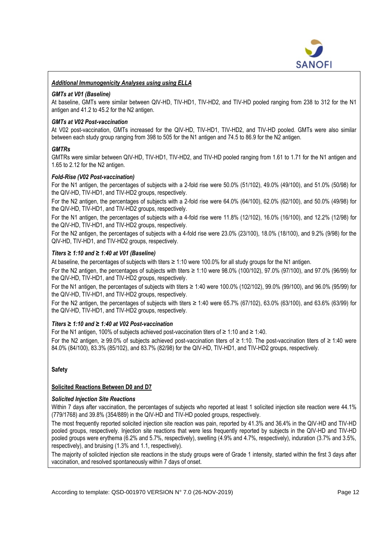

### *Additional Immunogenicity Analyses using using ELLA*

#### *GMTs at V01 (Baseline)*

At baseline, GMTs were similar between QIV-HD, TIV-HD1, TIV-HD2, and TIV-HD pooled ranging from 238 to 312 for the N1 antigen and 41.2 to 45.2 for the N2 antigen.

#### *GMTs at V02 Post-vaccination*

At V02 post-vaccination, GMTs increased for the QIV-HD, TIV-HD1, TIV-HD2, and TIV-HD pooled. GMTs were also similar between each study group ranging from 398 to 505 for the N1 antigen and 74.5 to 86.9 for the N2 antigen.

#### *GMTRs*

GMTRs were similar between QIV-HD, TIV-HD1, TIV-HD2, and TIV-HD pooled ranging from 1.61 to 1.71 for the N1 antigen and 1.65 to 2.12 for the N2 antigen.

#### *Fold-Rise (V02 Post-vaccination)*

For the N1 antigen, the percentages of subjects with a 2-fold rise were 50.0% (51/102), 49.0% (49/100), and 51.0% (50/98) for the QIV-HD, TIV-HD1, and TIV-HD2 groups, respectively.

For the N2 antigen, the percentages of subjects with a 2-fold rise were 64.0% (64/100), 62.0% (62/100), and 50.0% (49/98) for the QIV-HD, TIV-HD1, and TIV-HD2 groups, respectively.

For the N1 antigen, the percentages of subjects with a 4-fold rise were 11.8% (12/102), 16.0% (16/100), and 12.2% (12/98) for the QIV-HD, TIV-HD1, and TIV-HD2 groups, respectively.

For the N2 antigen, the percentages of subjects with a 4-fold rise were 23.0% (23/100), 18.0% (18/100), and 9.2% (9/98) for the QIV-HD, TIV-HD1, and TIV-HD2 groups, respectively.

#### *Titers ≥ 1:10 and ≥ 1:40 at V01 (Baseline)*

At baseline, the percentages of subjects with titers ≥ 1:10 were 100.0% for all study groups for the N1 antigen.

For the N2 antigen, the percentages of subjects with titers  $\geq 1:10$  were  $98.0\%$  (100/102), 97.0% (97/100), and 97.0% (96/99) for the QIV-HD, TIV-HD1, and TIV-HD2 groups, respectively.

For the N1 antigen, the percentages of subjects with titers ≥ 1:40 were 100.0% (102/102), 99.0% (99/100), and 96.0% (95/99) for the QIV-HD, TIV-HD1, and TIV-HD2 groups, respectively.

For the N2 antigen, the percentages of subjects with titers ≥ 1:40 were 65.7% (67/102), 63.0% (63/100), and 63.6% (63/99) for the QIV-HD, TIV-HD1, and TIV-HD2 groups, respectively.

## *Titers ≥ 1:10 and ≥ 1:40 at V02 Post-vaccination*

For the N1 antigen, 100% of subjects achieved post-vaccination titers of  $\geq 1:10$  and  $\geq 1:40$ .

For the N2 antigen, ≥ 99.0% of subjects achieved post-vaccination titers of ≥ 1:10. The post-vaccination titers of ≥ 1:40 were 84.0% (84/100), 83.3% (85/102), and 83.7% (82/98) for the QIV-HD, TIV-HD1, and TIV-HD2 groups, respectively.

### **Safety**

### **Solicited Reactions Between D0 and D7**

#### *Solicited Injection Site Reactions*

Within 7 days after vaccination, the percentages of subjects who reported at least 1 solicited injection site reaction were 44.1% (779/1768) and 39.8% (354/889) in the QIV-HD and TIV-HD pooled groups, respectively.

The most frequently reported solicited injection site reaction was pain, reported by 41.3% and 36.4% in the QIV-HD and TIV-HD pooled groups, respectively. Injection site reactions that were less frequently reported by subjects in the QIV-HD and TIV-HD pooled groups were erythema (6.2% and 5.7%, respectively), swelling (4.9% and 4.7%, respectively), induration (3.7% and 3.5%, respectively), and bruising (1.3% and 1.1, respectively).

The majority of solicited injection site reactions in the study groups were of Grade 1 intensity, started within the first 3 days after vaccination, and resolved spontaneously within 7 days of onset.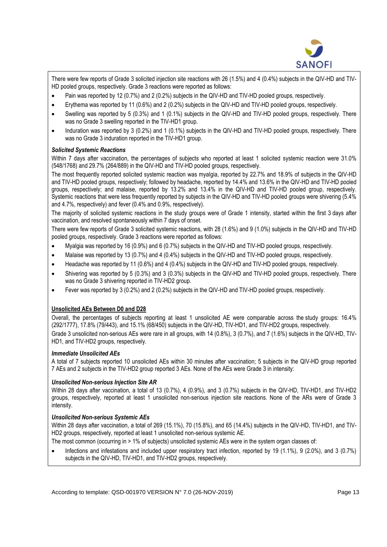

There were few reports of Grade 3 solicited injection site reactions with 26 (1.5%) and 4 (0.4%) subjects in the QIV-HD and TIV-HD pooled groups, respectively. Grade 3 reactions were reported as follows:

- Pain was reported by 12 (0.7%) and 2 (0.2%) subjects in the QIV-HD and TIV-HD pooled groups, respectively.
- Erythema was reported by 11 (0.6%) and 2 (0.2%) subjects in the QIV-HD and TIV-HD pooled groups, respectively.
- Swelling was reported by 5 (0.3%) and 1 (0.1%) subjects in the QIV-HD and TIV-HD pooled groups, respectively. There was no Grade 3 swelling reported in the TIV-HD1 group.
- Induration was reported by 3 (0.2%) and 1 (0.1%) subjects in the QIV-HD and TIV-HD pooled groups, respectively. There was no Grade 3 induration reported in the TIV-HD1 group.

### *Solicited Systemic Reactions*

Within 7 davs after vaccination, the percentages of subjects who reported at least 1 solicited systemic reaction were 31.0% (548/1768) and 29.7% (264/889) in the QIV-HD and TIV-HD pooled groups, respectively.

The most frequently reported solicited systemic reaction was myalgia, reported by 22.7% and 18.9% of subjects in the QIV-HD and TIV-HD pooled groups, respectively; followed by headache, reported by 14.4% and 13.6% in the QIV-HD and TIV-HD pooled groups, respectively; and malaise, reported by 13.2% and 13.4% in the QIV-HD and TIV-HD pooled group, respectively. Systemic reactions that were less frequently reported by subjects in the QIV-HD and TIV-HD pooled groups were shivering (5.4% and 4.7%, respectively) and fever (0.4% and 0.9%, respectively).

The majority of solicited systemic reactions in the study groups were of Grade 1 intensity, started within the first 3 days after vaccination, and resolved spontaneously within 7 days of onset.

There were few reports of Grade 3 solicited systemic reactions, with 28 (1.6%) and 9 (1.0%) subjects in the QIV-HD and TIV-HD pooled groups, respectively. Grade 3 reactions were reported as follows:

- Myalgia was reported by 16 (0.9%) and 6 (0.7%) subjects in the QIV-HD and TIV-HD pooled groups, respectively.
- Malaise was reported by 13 (0.7%) and 4 (0.4%) subjects in the QIV-HD and TIV-HD pooled groups, respectively.
- Headache was reported by 11 (0.6%) and 4 (0.4%) subjects in the QIV-HD and TIV-HD pooled groups, respectively.
- Shivering was reported by 5 (0.3%) and 3 (0.3%) subjects in the QIV-HD and TIV-HD pooled groups, respectively. There was no Grade 3 shivering reported in TIV-HD2 group.
- Fever was reported by 3 (0.2%) and 2 (0.2%) subjects in the QIV-HD and TIV-HD pooled groups, respectively.

### **Unsolicited AEs Between D0 and D28**

Overall, the percentages of subjects reporting at least 1 unsolicited AE were comparable across the study groups: 16.4% (292/1777), 17.8% (79/443), and 15.1% (68/450) subjects in the QIV-HD, TIV-HD1, and TIV-HD2 groups, respectively. Grade 3 unsolicited non-serious AEs were rare in all groups, with 14 (0.8%), 3 (0.7%), and 7 (1.6%) subjects in the QIV-HD, TIV-HD1, and TIV-HD2 groups, respectively.

### *Immediate Unsolicited AEs*

A total of 7 subjects reported 10 unsolicited AEs within 30 minutes after vaccination; 5 subjects in the QIV-HD group reported 7 AEs and 2 subjects in the TIV-HD2 group reported 3 AEs. None of the AEs were Grade 3 in intensity:

### *Unsolicited Non-serious Injection Site AR*

Within 28 days after vaccination, a total of 13 (0.7%), 4 (0.9%), and 3 (0.7%) subjects in the QIV-HD, TIV-HD1, and TIV-HD2 groups, respectively, reported at least 1 unsolicited non-serious injection site reactions. None of the ARs were of Grade 3 intensity.

### *Unsolicited Non-serious Systemic AEs*

Within 28 days after vaccination, a total of 269 (15.1%), 70 (15.8%), and 65 (14.4%) subjects in the QIV-HD, TIV-HD1, and TIV-HD2 groups, respectively, reported at least 1 unsolicited non-serious systemic AE.

The most common (occurring in > 1% of subjects) unsolicited systemic AEs were in the system organ classes of:

• Infections and infestations and included upper respiratory tract infection, reported by 19 (1.1%), 9 (2.0%), and 3 (0.7%) subjects in the QIV-HD, TIV-HD1, and TIV-HD2 groups, respectively.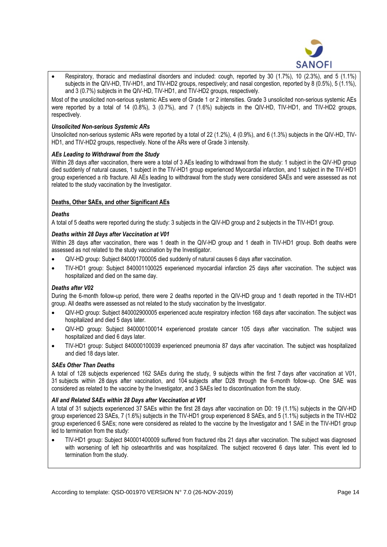

• Respiratory, thoracic and mediastinal disorders and included: cough, reported by 30 (1.7%), 10 (2.3%), and 5 (1.1%) subjects in the QIV-HD, TIV-HD1, and TIV-HD2 groups, respectively; and nasal congestion, reported by 8 (0.5%), 5 (1.1%), and 3 (0.7%) subjects in the QIV-HD, TIV-HD1, and TIV-HD2 groups, respectively.

Most of the unsolicited non-serious systemic AEs were of Grade 1 or 2 intensities. Grade 3 unsolicited non-serious systemic AEs were reported by a total of 14 (0.8%), 3 (0.7%), and 7 (1.6%) subjects in the QIV-HD, TIV-HD1, and TIV-HD2 groups, respectively.

## *Unsolicited Non-serious Systemic ARs*

Unsolicited non-serious systemic ARs were reported by a total of 22 (1.2%), 4 (0.9%), and 6 (1.3%) subjects in the QIV-HD, TIV-HD1, and TIV-HD2 groups, respectively. None of the ARs were of Grade 3 intensity.

## *AEs Leading to Withdrawal from the Study*

Within 28 days after vaccination, there were a total of 3 AEs leading to withdrawal from the study: 1 subject in the QIV-HD group died suddenly of natural causes, 1 subject in the TIV-HD1 group experienced Myocardial infarction, and 1 subject in the TIV-HD1 group experienced a rib fracture. All AEs leading to withdrawal from the study were considered SAEs and were assessed as not related to the study vaccination by the Investigator.

## **Deaths, Other SAEs, and other Significant AEs**

## *Deaths*

A total of 5 deaths were reported during the study: 3 subjects in the QIV-HD group and 2 subjects in the TIV-HD1 group.

## *Deaths within 28 Days after Vaccination at V01*

Within 28 days after vaccination, there was 1 death in the QIV-HD group and 1 death in TIV-HD1 group. Both deaths were assessed as not related to the study vaccination by the Investigator.

- QIV-HD group: Subject 840001700005 died suddenly of natural causes 6 days after vaccination.
- TIV-HD1 group: Subject 840001100025 experienced myocardial infarction 25 days after vaccination. The subject was hospitalized and died on the same day.

# *Deaths after V02*

During the 6-month follow-up period, there were 2 deaths reported in the QIV-HD group and 1 death reported in the TIV-HD1 group. All deaths were assessed as not related to the study vaccination by the Investigator.

- QIV-HD group: Subject 840002900005 experienced acute respiratory infection 168 days after vaccination. The subject was hospitalized and died 5 days later.
- QIV-HD group: Subject 840000100014 experienced prostate cancer 105 days after vaccination. The subject was hospitalized and died 6 days later.
- TIV-HD1 group: Subject 840000100039 experienced pneumonia 87 days after vaccination. The subject was hospitalized and died 18 days later.

# *SAEs Other Than Deaths*

A total of 128 subjects experienced 162 SAEs during the study, 9 subjects within the first 7 days after vaccination at V01, 31 subjects within 28 days after vaccination, and 104 subjects after D28 through the 6-month follow-up. One SAE was considered as related to the vaccine by the Investigator, and 3 SAEs led to discontinuation from the study.

### *All and Related SAEs within 28 Days after Vaccination at V01*

A total of 31 subjects experienced 37 SAEs within the first 28 days after vaccination on D0: 19 (1.1%) subjects in the QIV-HD group experienced 23 SAEs, 7 (1.6%) subjects in the TIV-HD1 group experienced 8 SAEs, and 5 (1.1%) subjects in the TIV-HD2 group experienced 6 SAEs; none were considered as related to the vaccine by the Investigator and 1 SAE in the TIV-HD1 group led to termination from the study:

• TIV-HD1 group: Subject 840001400009 suffered from fractured ribs 21 days after vaccination. The subject was diagnosed with worsening of left hip osteoarthritis and was hospitalized. The subject recovered 6 days later. This event led to termination from the study.